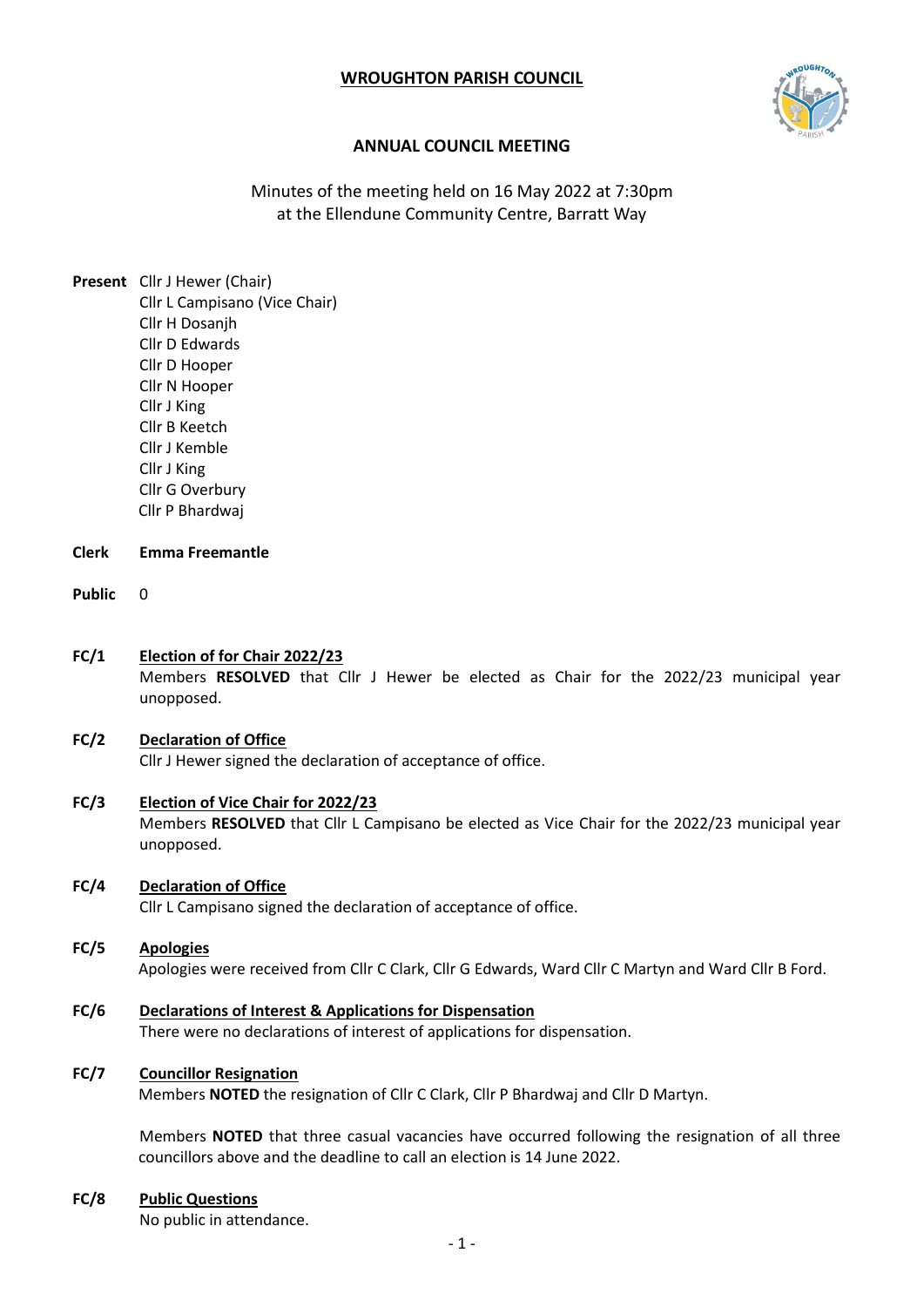# **WROUGHTON PARISH COUNCIL**



# **ANNUAL COUNCIL MEETING**

Minutes of the meeting held on 16 May 2022 at 7:30pm at the Ellendune Community Centre, Barratt Way

**Present** Cllr J Hewer (Chair) Cllr L Campisano (Vice Chair) Cllr H Dosanjh Cllr D Edwards Cllr D Hooper Cllr N Hooper Cllr J King Cllr B Keetch Cllr J Kemble Cllr J King Cllr G Overbury Cllr P Bhardwaj

#### **Clerk Emma Freemantle**

- **Public** 0
- **FC/1 Election of for Chair 2022/23**

Members **RESOLVED** that Cllr J Hewer be elected as Chair for the 2022/23 municipal year unopposed.

### **FC/2 Declaration of Office**  Cllr J Hewer signed the declaration of acceptance of office.

- **FC/3 Election of Vice Chair for 2022/23** Members **RESOLVED** that Cllr L Campisano be elected as Vice Chair for the 2022/23 municipal year unopposed.
- **FC/4 Declaration of Office**

Cllr L Campisano signed the declaration of acceptance of office.

- **FC/5 Apologies** Apologies were received from Cllr C Clark, Cllr G Edwards, Ward Cllr C Martyn and Ward Cllr B Ford.
- **FC/6 Declarations of Interest & Applications for Dispensation** There were no declarations of interest of applications for dispensation.

### **FC/7 Councillor Resignation**

Members **NOTED** the resignation of Cllr C Clark, Cllr P Bhardwaj and Cllr D Martyn.

Members **NOTED** that three casual vacancies have occurred following the resignation of all three councillors above and the deadline to call an election is 14 June 2022.

## **FC/8 Public Questions**

No public in attendance.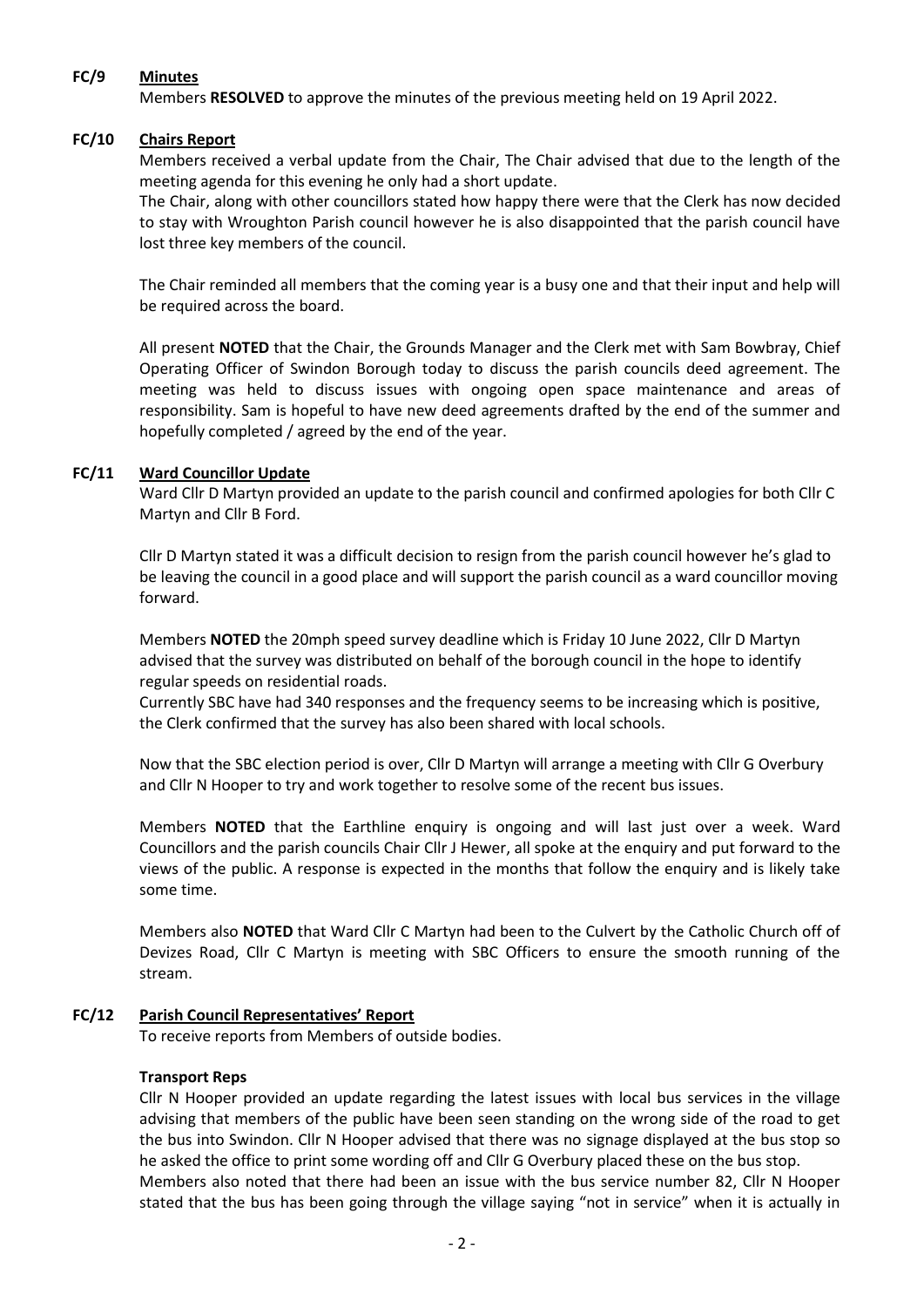### **FC/9 Minutes**

Members **RESOLVED** to approve the minutes of the previous meeting held on 19 April 2022.

## **FC/10 Chairs Report**

Members received a verbal update from the Chair, The Chair advised that due to the length of the meeting agenda for this evening he only had a short update.

The Chair, along with other councillors stated how happy there were that the Clerk has now decided to stay with Wroughton Parish council however he is also disappointed that the parish council have lost three key members of the council.

The Chair reminded all members that the coming year is a busy one and that their input and help will be required across the board.

All present **NOTED** that the Chair, the Grounds Manager and the Clerk met with Sam Bowbray, Chief Operating Officer of Swindon Borough today to discuss the parish councils deed agreement. The meeting was held to discuss issues with ongoing open space maintenance and areas of responsibility. Sam is hopeful to have new deed agreements drafted by the end of the summer and hopefully completed / agreed by the end of the year.

## **FC/11 Ward Councillor Update**

Ward Cllr D Martyn provided an update to the parish council and confirmed apologies for both Cllr C Martyn and Cllr B Ford.

Cllr D Martyn stated it was a difficult decision to resign from the parish council however he's glad to be leaving the council in a good place and will support the parish council as a ward councillor moving forward.

Members **NOTED** the 20mph speed survey deadline which is Friday 10 June 2022, Cllr D Martyn advised that the survey was distributed on behalf of the borough council in the hope to identify regular speeds on residential roads.

Currently SBC have had 340 responses and the frequency seems to be increasing which is positive, the Clerk confirmed that the survey has also been shared with local schools.

Now that the SBC election period is over, Cllr D Martyn will arrange a meeting with Cllr G Overbury and Cllr N Hooper to try and work together to resolve some of the recent bus issues.

Members **NOTED** that the Earthline enquiry is ongoing and will last just over a week. Ward Councillors and the parish councils Chair Cllr J Hewer, all spoke at the enquiry and put forward to the views of the public. A response is expected in the months that follow the enquiry and is likely take some time.

Members also **NOTED** that Ward Cllr C Martyn had been to the Culvert by the Catholic Church off of Devizes Road, Cllr C Martyn is meeting with SBC Officers to ensure the smooth running of the stream.

# **FC/12 Parish Council Representatives' Report**

To receive reports from Members of outside bodies.

### **Transport Reps**

Cllr N Hooper provided an update regarding the latest issues with local bus services in the village advising that members of the public have been seen standing on the wrong side of the road to get the bus into Swindon. Cllr N Hooper advised that there was no signage displayed at the bus stop so he asked the office to print some wording off and Cllr G Overbury placed these on the bus stop. Members also noted that there had been an issue with the bus service number 82, Cllr N Hooper stated that the bus has been going through the village saying "not in service" when it is actually in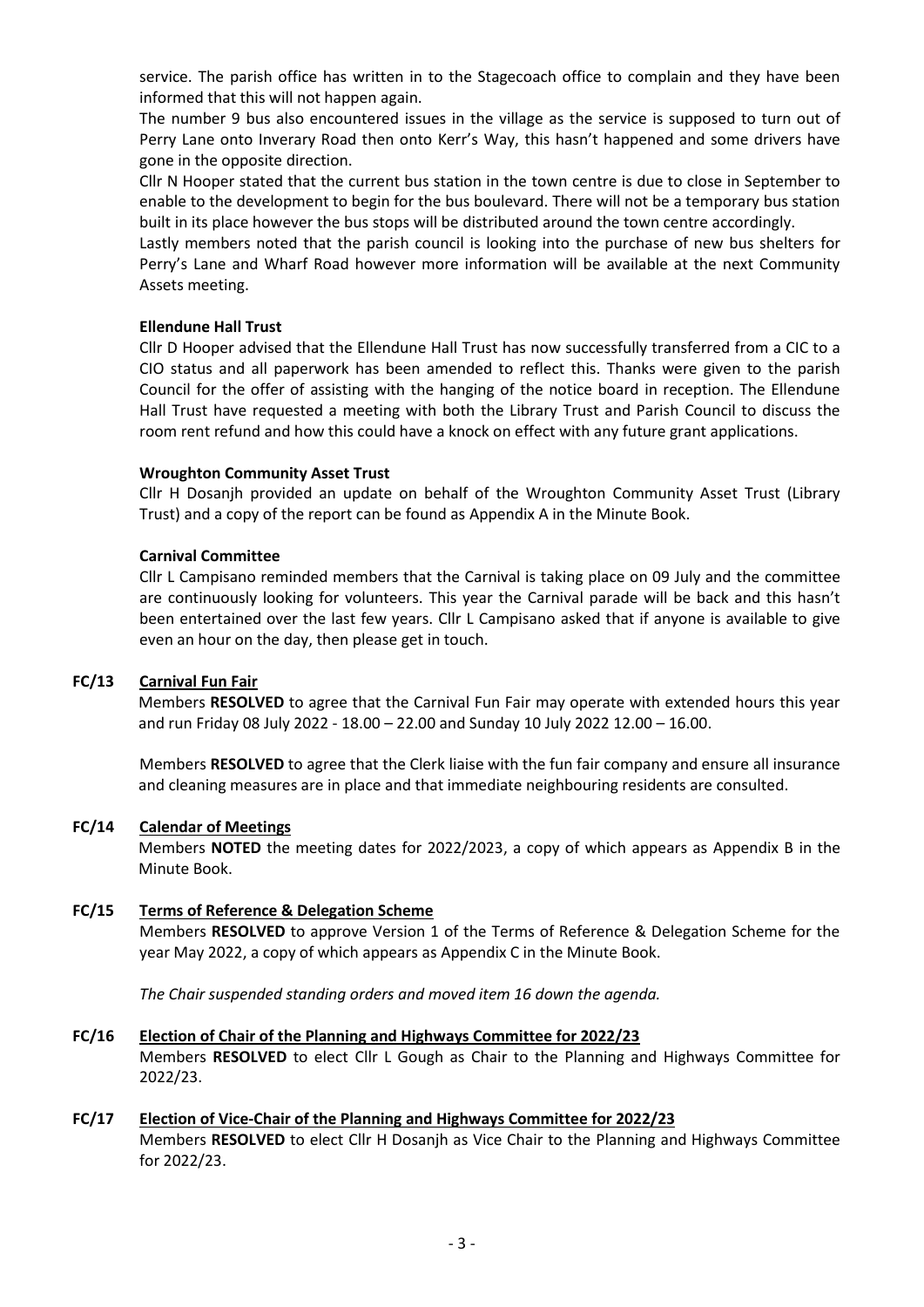service. The parish office has written in to the Stagecoach office to complain and they have been informed that this will not happen again.

The number 9 bus also encountered issues in the village as the service is supposed to turn out of Perry Lane onto Inverary Road then onto Kerr's Way, this hasn't happened and some drivers have gone in the opposite direction.

Cllr N Hooper stated that the current bus station in the town centre is due to close in September to enable to the development to begin for the bus boulevard. There will not be a temporary bus station built in its place however the bus stops will be distributed around the town centre accordingly.

Lastly members noted that the parish council is looking into the purchase of new bus shelters for Perry's Lane and Wharf Road however more information will be available at the next Community Assets meeting.

### **Ellendune Hall Trust**

Cllr D Hooper advised that the Ellendune Hall Trust has now successfully transferred from a CIC to a CIO status and all paperwork has been amended to reflect this. Thanks were given to the parish Council for the offer of assisting with the hanging of the notice board in reception. The Ellendune Hall Trust have requested a meeting with both the Library Trust and Parish Council to discuss the room rent refund and how this could have a knock on effect with any future grant applications.

## **Wroughton Community Asset Trust**

Cllr H Dosanjh provided an update on behalf of the Wroughton Community Asset Trust (Library Trust) and a copy of the report can be found as Appendix A in the Minute Book.

## **Carnival Committee**

Cllr L Campisano reminded members that the Carnival is taking place on 09 July and the committee are continuously looking for volunteers. This year the Carnival parade will be back and this hasn't been entertained over the last few years. Cllr L Campisano asked that if anyone is available to give even an hour on the day, then please get in touch.

## **FC/13 Carnival Fun Fair**

Members **RESOLVED** to agree that the Carnival Fun Fair may operate with extended hours this year and run Friday 08 July 2022 - 18.00 – 22.00 and Sunday 10 July 2022 12.00 – 16.00.

Members **RESOLVED** to agree that the Clerk liaise with the fun fair company and ensure all insurance and cleaning measures are in place and that immediate neighbouring residents are consulted.

### **FC/14 Calendar of Meetings**

Members **NOTED** the meeting dates for 2022/2023, a copy of which appears as Appendix B in the Minute Book.

### **FC/15 Terms of Reference & Delegation Scheme**

Members **RESOLVED** to approve Version 1 of the Terms of Reference & Delegation Scheme for the year May 2022, a copy of which appears as Appendix C in the Minute Book.

*The Chair suspended standing orders and moved item 16 down the agenda.*

### **FC/16 Election of Chair of the Planning and Highways Committee for 2022/23**

Members **RESOLVED** to elect Cllr L Gough as Chair to the Planning and Highways Committee for 2022/23.

### **FC/17 Election of Vice-Chair of the Planning and Highways Committee for 2022/23**

Members **RESOLVED** to elect Cllr H Dosanjh as Vice Chair to the Planning and Highways Committee for 2022/23.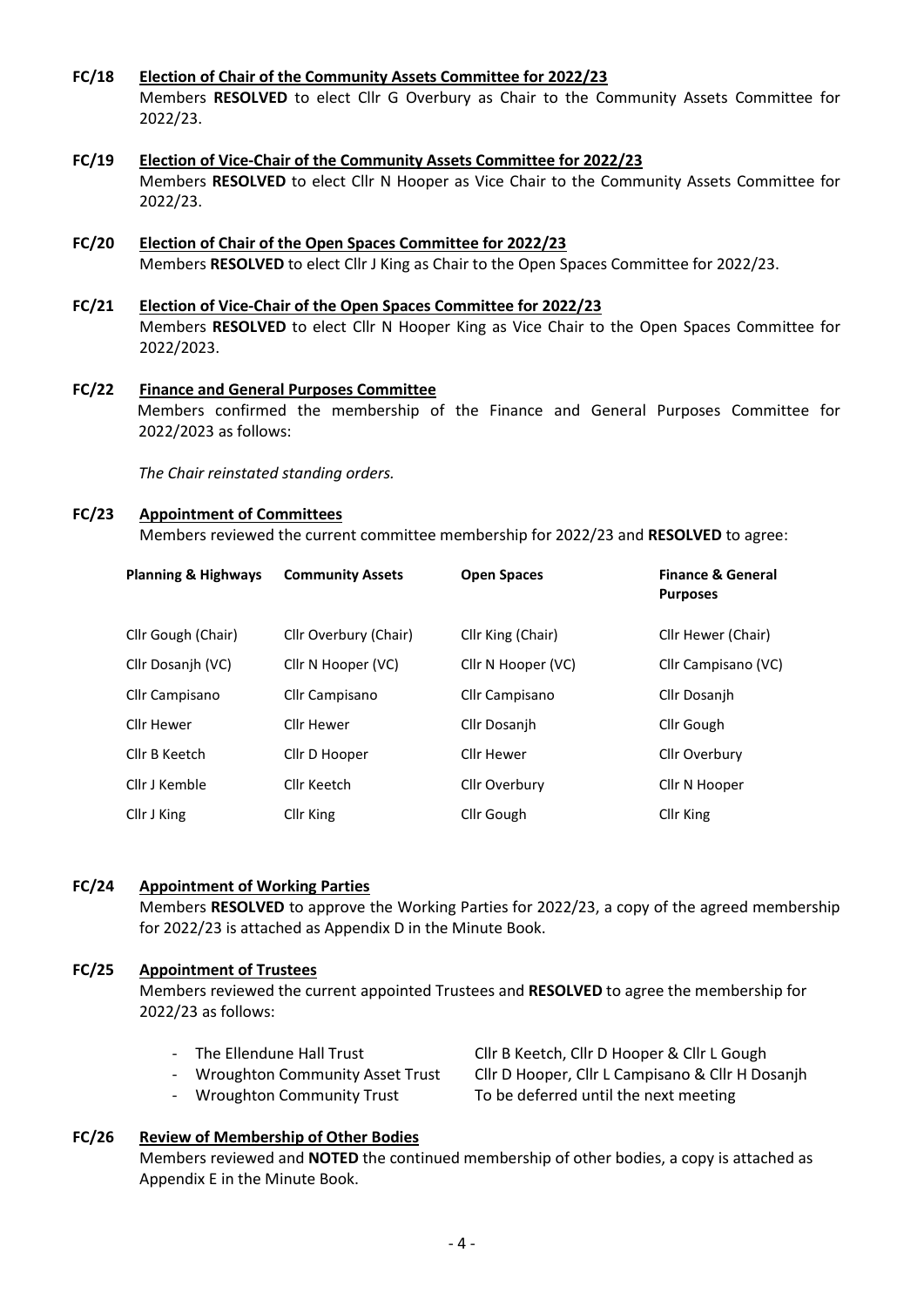- **FC/18 Election of Chair of the Community Assets Committee for 2022/23** Members **RESOLVED** to elect Cllr G Overbury as Chair to the Community Assets Committee for 2022/23.
- **FC/19 Election of Vice-Chair of the Community Assets Committee for 2022/23** Members **RESOLVED** to elect Cllr N Hooper as Vice Chair to the Community Assets Committee for 2022/23.
- **FC/20 Election of Chair of the Open Spaces Committee for 2022/23** Members **RESOLVED** to elect Cllr J King as Chair to the Open Spaces Committee for 2022/23.
- **FC/21 Election of Vice-Chair of the Open Spaces Committee for 2022/23** Members **RESOLVED** to elect Cllr N Hooper King as Vice Chair to the Open Spaces Committee for 2022/2023.
- **FC/22 Finance and General Purposes Committee** Members confirmed the membership of the Finance and General Purposes Committee for 2022/2023 as follows:

*The Chair reinstated standing orders.* 

#### **FC/23 Appointment of Committees**

Members reviewed the current committee membership for 2022/23 and **RESOLVED** to agree:

| <b>Planning &amp; Highways</b> | <b>Community Assets</b> | <b>Open Spaces</b> | <b>Finance &amp; General</b><br><b>Purposes</b> |
|--------------------------------|-------------------------|--------------------|-------------------------------------------------|
| Cllr Gough (Chair)             | Cllr Overbury (Chair)   | Cllr King (Chair)  | Cllr Hewer (Chair)                              |
| Cllr Dosanjh (VC)              | Cllr N Hooper (VC)      | Cllr N Hooper (VC) | Cllr Campisano (VC)                             |
| Cllr Campisano                 | Cllr Campisano          | Cllr Campisano     | Cllr Dosanjh                                    |
| Cllr Hewer                     | Cllr Hewer              | Cllr Dosanjh       | Cllr Gough                                      |
| Cllr B Keetch                  | Cllr D Hooper           | Cllr Hewer         | Cllr Overbury                                   |
| Cllr J Kemble                  | Cllr Keetch             | Cllr Overbury      | Cllr N Hooper                                   |
| Cllr J King                    | Cllr King               | Cllr Gough         | Cllr King                                       |

### **FC/24 Appointment of Working Parties**

Members **RESOLVED** to approve the Working Parties for 2022/23, a copy of the agreed membership for 2022/23 is attached as Appendix D in the Minute Book.

### **FC/25 Appointment of Trustees**

Members reviewed the current appointed Trustees and **RESOLVED** to agree the membership for 2022/23 as follows:

- -
- 

- The Ellendune Hall Trust Cllr B Keetch, Cllr D Hooper & Cllr L Gough - Wroughton Community Asset Trust Cllr D Hooper, Cllr L Campisano & Cllr H Dosanjh - Wroughton Community Trust To be deferred until the next meeting

### **FC/26 Review of Membership of Other Bodies**

Members reviewed and **NOTED** the continued membership of other bodies, a copy is attached as Appendix E in the Minute Book.